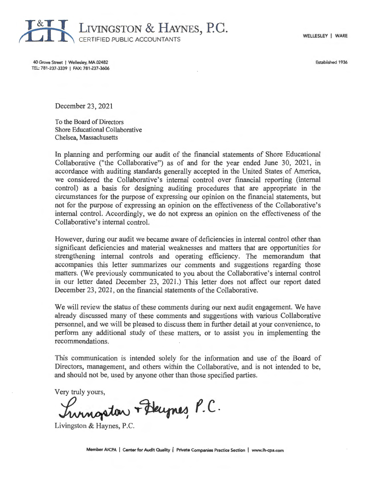WELLESLEY I WARE



40 Grove Street I Wellesley, MA 02482 TEL: 781-237-3339 | FAX: 781-237-3606 Established 1936

December 23 , 2021

To the *Board* of Directors Shore Educational Collaborative Chelsea, Massachusetts

In planning and performing our audit of the financial statements of Shore Educational Collaborative ("the Collaborative") as of and for the year ended June 30, 2021, in accordance with auditing standards generally accepted in the United States of America, we considered the Collaborative's internal control over financial reporting (internal control) as a basis for designing auditing procedures that are appropriate in the circumstances for the purpose of expressing our opinion on the financial statements, but not for the purpose of expressing an opinion on the effectiveness of the Collaborative's internal control. Accordingly, we do not express an opinion on the effectiveness of the Collaborative's internal control.

However, during our audit we became aware of deficiencies in internal control other than significant deficiencies and material weaknesses and matters that are opportunities for strengthening internal controls and operating efficiency. The memorandum that accompanies this letter summarizes our comments and suggestions regarding those matters. (We previously communicated to you about the Collaborative's internal control in our letter dated December 23 , 2021.) This letter does not affect our report dated December 23, 2021, on the financial statements of the Collaborative.

We will review the status of these comments during our next audit engagement. We have already discussed many of these comments and suggestions with various Collaborative personnel, and we will be pleased to discuss them in further detail at your convenience, to perform any additional study of these matters, or to assist you in implementing the recommendations.

This communication is intended solely for the information and use of the Board of Directors, management, and others within the Collaborative, and is not intended to be, and should not be, used by anyone other than those specified parties.

Very truly yours,

,\_~ *f.C..* 

Livingston & Haynes, P.C.